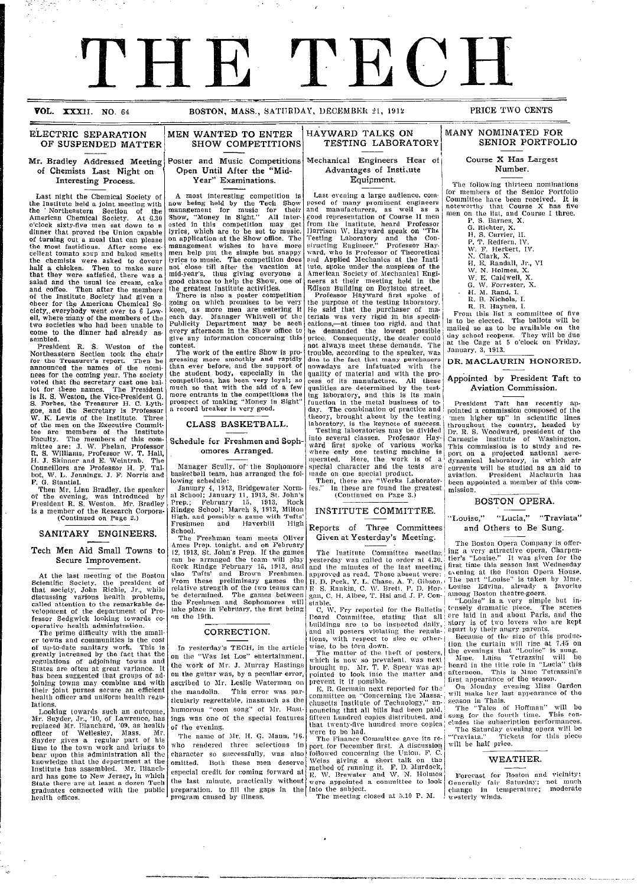# **THE** T **E C** HI Y, DECEMBER 21, 1912<br>
HAYWARD TALKS ON<br>
TESTING LABORATORY<br>
MANY NOMINATED FOR<br>
TESTING LABORATORY<br>
Mechanical Engineers Hear of Course X Has Largest<br>
Advantages of Institute Equipment.<br>
Last evening a large audience, comp

arranged the team will play I yesterday will play I yesterday was called to order  $0$  yesterday was called to order 0.000  $\pm$ 

credit for coming for coming for coming for coming for running it. F. D. -Murdock, at method of running it. F.

regrettable, inasmuch as the I

so successfully, was also followed concerning the Union, *F. C.*

**VOL. XXXII.** NO. 64 BOSTON, MASS., SATURDAY, DECEMBER 21, 1912 PRICE TWO CENTS

I

#### ELECTRIC SEPARATION OF SUSPENDED MATTER

#### Mr. Bradley Addressed Meeting of Chemists Last Night on Interesting Process.

Last night the Chemical Society of the Institute held a joint meeting with the ' Northeastern Section of the American Chemical Society. At 6.30 o'clock sixty-five men sat down to a dinner that proved the Union capable of turning out a meal that can please the most fastidious. After some ex- cellent tomato soup and baked smelts the chemists were asked to devour<br>half a chicken. Then to make sure<br>that they were satisfied, there was a salad and the usual ice cream, cake and coffee. Then after the members of the Institute Society had given a cheer for the American Chemical So-<br>ciety, everybody went over to 6 Low-<br>ell, where many of the members of the two societies who had been unable to come to the dinner had already assembled. The state of the semi-

President R. S. Weston of the Northeastern Section took the chair for the Treasurer's report. rThen he announced the names of the nominees for the coming year. The society voted that the secretary cast one ballot for these names. The President is R. S. Weston, the Vice-President G. S. Forbes, the Treasurer H. C. Lythgoe, and the Secretary is Professor W. K. Lewis of the Institute. Three of the men on the Executive Commit-tee are members of the Institute Faculty. The members of this committee are: J. W. Phelan, Professor R. S. Williams, Professor W. T. Hall, H. J. Skinner and E. Weintrab. The Councillors are Professor H. P. Tal-bot, W. L. Jennings. J. F. Norris and P. G. Stantial.

Then Mr. Linn Bradley, the speaker<br>of the evening, was introduced by President R. S. Weston. Mr. Bradley is a member of the Research Corpora- (Continued on Page 2.)

### SANITARY ENGINEERS.

#### Tech Men Aid Small Towns to Secure Improvement.

At the last meeting of the Boston<br>Scientific Society, the president of<br>that society, John Richie, Jr., while<br>discussing various health problems,<br>called attention to the remarkable de-<br>velopment of the department of Professor Sedgwick looking towards co-operative health administration.

The prime difficulty with the smaller towns and communities is the cost of up-to-date sanitary work. This is greatly increased by the fact that the regulations of adjoining towns and States are often at great variance. It has been suggested that groups of adjoining towns may combine and with their joint purses secure an efficient health officer and uniform health regu-

lations. Looking towards such an outcome, Mr. Snyder, Jr., '10, of Lawrence, has replaced Mr. Blanchard, '09, as health officer of Wellesley, Mass. Mr. Snyder gives a regular part of his time to the town work and brings to bear upon this administration all the knowledge that the department at the Institute has assembled. Mr. Blanch-ard has gone to New Jersey, in which State there are at least a dozen Tech graduates connected with the public health offices.

#### Poster and Music Competitions Open Until After the "Mid-Year" Examinations.

SHOW COMPETITIONS

MEN WANTED TO ENTER

A most interesting competition is now being held by the Tech Show management for music for their Show, "Money in Sight." All interested in this competition may get lyrics, which are to be set to music. on application at the Show office. The management wishes to have more men help put the simple but snappy lyrics to music. The competition does not close till after the vacation at mid-year's, thus giving everyone a good chance to help the Show, one of<br>the greatest Institute activities.

There is also a poster competition<br>going on which promises to be very keen, as more men are entering it<br>each day. Manager Whitwell of the Publicity Department may be seen every afternoon in the Show office to give any information concerning this contest. The work of the entire Show is pro-the

gressing more smoothly and rapidly than ever before, and the support of the student body, especially in the competitions, has been very loyal; so much so that with the aid of a few more entrants in the competitions the prospect of making "Money in Sight" a record breaker is very good.

#### CLASS BASKETBALL.

#### Schedule for Freshmen and Sophomores Arranged.

Manager Scully, of the Sophomore<br>basketball team, has arranged the following schedule

January 4, 1913, Bridgewater Norm. al School; January 11, 1913, St. John's Prep.; February 15, 1913, Rock Rindge School; March 8, 1913, Milton High, and possibly a game with Tufts' Freshmen and Haverhill High

School. The Freshman team meets Oliver mies Prep. tonight, and on February 12, 1913, St. John's Prep. If the games can be arranged the team will play Rock Rindge February 15, 1913, antd also Tufts' and Brown Freshmen. From these preliminary g<mark>am</mark>es the<br>relative strength of the two teams can<br>be determined. The games between the Freshmen and Sophomores will take place in February, the first being take mn the 19th. tz, Rock Rindg<br>also Tufts'<br>From these<br>relative stre<br>be determin<br>the Freshme

#### CORRECTION.

In yesterday's TECH, in the article In on the "Was Ist Los" entertainment, the work of Mr. J. Murray Hastings on the guitar was, by a peculiar error, ascribed to Mr. Leslie Waterman on ascribed This error was particularly regrettable, inasmuch as the humorous "coon song" of Mr. Hast-humorous ings was one of the special features<br>of the evening. oi the evening. the mandolin. ot

The name of Mr. H. G. Mann, '16. who rendered three selections in character so successfully, was also omitted. Both these men deserve especial credit for coming forward at the last minute, practically without preparation, to fill the gaps in the program caused by illness. character omitted. especial credit for coming forward at  $\left| \frac{\text{me}}{\text{E}} \right|$ 

Mechanical Engineers Hear of Mechanical Advantages of Instiute Equipment. Equipment.

1913,'i' 1' illes The Institute Committee lueethip, ! ing a. very attractive opera, Charpen-

the 19th. Poard Committee, stating that all are laid in and about Paris, and the

to Mr. Leslie Waterman on prevent it if possible. !first appearance of the season.

Both these men deserve Weiss giving a short talk on the! WEATHER.

determined. The games between gan, C. H. Albee, T. Hsi and J. P. Con- among Boston theatre-goers.

Brewster

-11-1 1- 11`11" -.. th-l- oln-,Prl *at* P- AT- ICecil,,

Rindge February 15, 1913, andl and the minutes of the last illeetin" first time this season last Wednesday and Brown Freshmen. RPproved as read. Those absent were e-%ening at the Poston Opera House. these preliminary games the H. D. Peek. Y. L. Chase, A. T. Chase, A. T. Gibson. i ouise" is taken by '. L. Cha strength of the two teanis can p, S. Rmildii, C. AV. Bretf, P. D. Hol- Louise Edvina, already a favorite

was one of the special features fifteen hundred copies distributed, s1lug for the fourth time. This con-

"Was Ist Los "Matter of the theft of the theft of the theft of posters, the evenings that "Louise" is sung. The

Freshmen and Sophomores will stable. "Louise" is a very simple but in-

Last evening a large audience, com- Last )osed of many prominent engineers and manufacturers, as well as a good representation of Course 11 men good from the Institute, heard Professor<br>Ilarrison W. Hayward speak on "The<br>Testing Laboratory and the Con-<br>siructing Engineer." Professor Hay-<br>ward, who is Professor of Theoretical and Applied Mechanics at the Insti tute, spoke under the auspices of the American Society of Mechanical Engineers at their meeting held in the from the<br>Harrison<br>Testing structing<br>w<mark>ard, wh</mark> and Applied Mechanics at the Institute, spoke under the auspices of the H. E. Randall, Jr., it is a merican Society of Mechanical Engineers at their meeting held in the W. E. Caldwell, X Forester, 2 Professor Hayward first

ETdison Building on Boylston street. Professor Hayward first spoke of the purpose of the testing laboratory. He said that the purchaser of ma-terials was very rigid in his specifi-cations,-at times too rigid, and that he demanded the lowest possible price. Consequently, the dealer could extrolling—at three demanded the lowest possible<br>price. Consequently, the dealer could<br>not always meet these demands. The<br>trouble, according to the speaker, was trouble, according to the speaker, was due to the fact that many purchasers nowadays are infatuated with the quality of material and with the process of its manufacture. All these qualities are determined by the testing laboratory, and this is its main function in the metal business of to-day. The combination of practice and theory, brought about by the testing laboratory, is the keynote of success. Testing laboratories may be divided into several classes. Professor Hayward first spoke of various works where only one testing machine is operated. Here, the wvork is of a special character and the tests are<br>made on one special product. **Place in February, the first being the first being contained for the Bulletin transfer and the first being contained for the Bulletin transfer and the scenes of the Bulletin transfer and the Bulletin transfer and the sce** FRAME CORRECTION CONSULTING THE CLEARLY CONSULTING TO A REAL FIGURE CONSULTING TO A REAL FIGURE CONSULTING TO A REAL FIGURE CONSULTING TO A REAL FIGURE CONSULTING TO A REAL FIGURE CONSULTING TO A REAL FIGURE CONSULTING TO yesterday's TECH, in the article, wise, to be toril down. idon the curtain will rise at 7.45 oiloil work of Mr. J. '.\Iurray Hastings brought III). Mr. 1'. F. Spear was ap- 1 heard in the title role in "Lucia" thison guitar was, by a peculiar error, I fternoon. This is -.%line Tetrazzini'spointed mandolin. This error was par- E. B. Gerinlin next reported for tll, On -Monday evening -.\Iiss Gardencommittee oil "Concerning the ',\Iassa-' will inake her last appearance of ticularly THE CONSERVE CONDUCTION CONTRACT CONDUCTION CONTRACT CONDUCTION CONDUCTION CONTRACT CONDUCTION CONDUCTION CONDUCTION CONDUCTION CONDUCTION CONDUCTION CONDUCTION CONDUCTION CONDUCTION CONDUCTION CONDUCTION CONDUCTION CONDU  $\begin{minipage}{0.99\textwidth} \begin{tabular}{|c|c|c|c|c|} \hline \textbf{1} & \textbf{1} & \textbf{1} & \textbf{1} & \textbf{1} & \textbf{1} & \textbf{1} & \textbf{1} & \textbf{1} & \textbf{1} & \textbf{1} & \textbf{1} & \textbf{1} & \textbf{1} & \textbf{1} & \textbf{1} & \textbf{1} & \textbf{1} & \textbf{1} & \textbf{1} & \textbf{1} & \textbf{1} & \textbf{1} & \textbf{1} & \textbf{1} & \textbf{1} & \text$ had. Saturday evening opera will The NAME OF ALI-. 1-1. A. MANN, 116. THE FINANCE COMPRESSEDING COMPRESSEDING COMPRESSEDING **EXERCISE DE LA CONFERENCE (1988)** (1988) (1988) (1988) (1988) (1988) (1988) (1988) (1988) (1988) (1988) (1988) (1988) (1988) (1988) (1988) (1988) (1988) (1988) (1988) (1988) (1988) (1988) (1988) (1988) (1988) (1988) (198 est AND **BEST RECAST FOR BOSTON AND RECAST FOR BOSTON** last minute, practically without %vere appointed a conirnittee to look Generally fair Saturday; not muchpreparation, to fill the gaps in Into subject. liange temperature; moderate\_11-11-111 **EXERCISE AND AND SET AND ANY ONE CONSULTER SECTION AND MANY MONETAINED FOR THE CHANGE TO THE CONSULTER SECTION AND MANY MONETAINED FOR THE TRANSPORT OF THE CONSULTER THE CONSULTER CONSULTER (SEE AND A SECTION AND SECTION due**  cess ing labo<br>function<br>day. Tl several commission of the spoke of Carnegie Institute of Washington.ward and the spoke of the spoke of the space of the space of the Carnegie Institute of Washington.ward and the space of the space of the space of the spa operated. For DECEMBER 21, 1912<br>
(A) DECEMBER 21, 1912<br>
TRONGWARD TALKS ON THE PRICE TWO CENTS<br>
TESTING LABORATORY (MANY NOMINATED FOR TESTING LABORATORY (SENIOR PORTFOLIOR)<br>
declaring and the senior of the senior of the senior pro

Then, there are "Works Laborator"<br>
ies." In these are found the greates<br>
(Continued on Page 3.) (Continued

#### INSTITUTE COMMITTEE

#### Reports of Three Committees Given at Yesterday's Meeting.

yesterday was called to order at 4.20, tier's "Louise." It vas given for the and the minutes of the last meeting first time this season last \Vednesday yesterday was called to order at 4.20, and the minutes of the last meeting approved as read. Those absent were: H. D. Peck. Y. L. Chase, A. T. Gil)son. The part "Louise" is taken by **\ine.** P, S. Ranlin, C. AV. Bret, P. D. Hoi-- Louise Edvina, already a favorite gan, C. H. Albee, T. Hsi and **.1.** P. Con- among 1Boston theatre-goers.

I

and all posters violating the regula- apart by their angry parents. ......<br>buildings ...........<br>Lions,

brought up). Mr. 1'. F. Spear was ap- | heard **in** the title role in "Lucia" this pointed to look into the matter **and** I afternoon. This is Mine Tetrazzini's which

prevent it if possible.<br> **E. B. Germain next reported for the committee on "Concerning the Massa**chusetts Institute of Technology," an- season in Thais. nouncing that all bills had been paid, The "Tales" of Hoffman" will be<br>fifteen hundred copies distributed, and sung for the fourth time. This con-<br>that twenty-five hundred more copies cludes the subscription performances.

port for December first. A discussion will be half price.<br>followed concerning the Union, F. C. WEATHER.<br>
WEATHER.<br> *E*, W. Brewster and W. N. Holmes Forecast for Boston and vicinity:<br>
were appointed a committee to look Generally fair Saturday; not much

## SENIOR PORTFOLIO

**Course X Has** Largest Number.

The following thirteen nominations for members of the Senior Portfolio Committee have been received. It is noteworthy that Course X has five men on the list, and Course I three.

- P. S. Barnes, X. G. Richter, X.
- H. S. Currier, II.
- P. T. Redfern, IV.<br>W. F. Herbert, IV.
- 
- N. Clark, X. H. E. Randall, Jr., VI *W.\\T* N. Holmes, X.
- 
- \V. E. Caldwell, X. G. W. Forrester, X.
- *-H.* M. Rand, I.
- R. B. Nichols, I.

R. B3. Haynes, I. From this list a committee of five is to be elected. The ballots will be mailed so as to be available on the day school reopens. They will be due at the Cage at 5 o'clock on Friday, January, 3, 1913.

#### DR. MACLAURIN HONORED.

#### Appointed by President Taft to Aviation Commission.

President Taft has recently pointed a commission composed of the 'men higher up" in scientific lines throughout the country, headed by<br>Dr. R. S. Woodward, president of the Carnegie Institute of Washington. This commission is to study and report on a projected national aero-dynamical laboratory, in which air currents will be studied as an aid to aviation. President Maclaurin has been appointed a member of this commission.

#### BOSTON OPERA.

#### "Louise," "Lucia," "Traviata" and Others to Be Sung.

**The Boston Opera Company is offer-**The Institute Committee meeting ing a very attractive opera, Charpen-<br>sterday was called to order at 4.20, tier's "Louise." It was given for the

stable. "Louise" is a very simple but in-<br>C. W. Fry reported for the Bulletin tensely dramatic piece. The scenes<br>Poard Committee, stating that all <sup>2</sup> are laid in and about Paris, and the<br>buildings are to be inspected dail Figures with respect to size or other-<br>wise, to be torn down.<br>The matter of the theft of posters, the evenings that "Louise" is sung.<br>which is now so prevalent, was next all the line and the line of the beginning with the

E. B. Germain next reported for th' On Monday eveiing Miss Garden committee on "Concerning the MIsa'will miake **her** last appearance of the

were to be had.  $\frac{1}{100}$  is the saturday evening opera will be very set of the Saturday evening opera will be The Finance Commnittee gave its re- "'Iraviata." Tickets for this piece

Into the subject.<br>The meeting closed at 5.10 P. M. westerly winds.

#### MANY NOMINATED FOR .

HAYWARD TALKS ON HAYWARD TESTING LABORATORY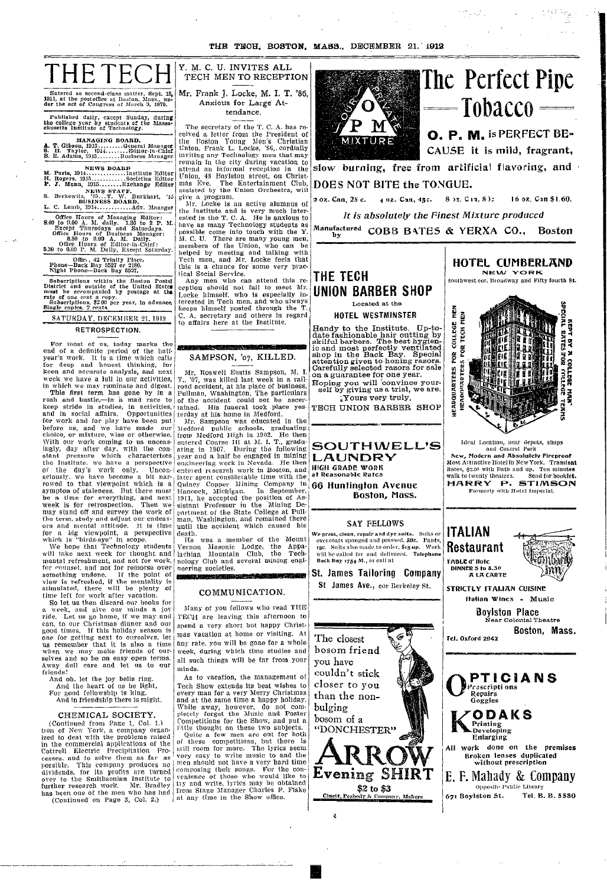

Entered as second-class matter. Sept. 15, 1911, at the postoffice at Boston, Mass., un- der the act of Congress of M:lrch 3, 1879.

Published daily, except Sunday, during **the** college year by studenll **cf** the Massa- chusetts Institute of Technlology.

# **MANAGING BOARD.**<br> **A. T.** Gibson, 1913 ..........General Manager<br> **B. H. Taylor, 1914........Business Manager**<br> **B. E. Adams, 1915........Business Manager**

**NEWVS BOARD** *MB.* Paris, 1914 .............. Institute Editor **i.** Rogers. 1915 ............ Societies **Editor P. J.** Munn, 1915 ........ Exchange Editor **NEWlVS** STAFF. S. Berkowitz, '15...'P. AV. **Bnrkhart, '16 BUSINESS BOARD.** *L.* C. **Lanmb,** 1914 ............ Adv. Manager

Office Hours of Managing Editor:<br>
8.40 to 9.00 A. M. daily. 1.30 to 2 P. M.<br>
Except Tunrsdays and Saturdays.<br>
Office Hours of Business Manager:<br>
8.30 to 9.00 A. M. Daily.<br>
0ffice Hours of Editor-in-Chief:<br>
06.00 P. M. Dail

Office, 42 Trinity Place. Phone-Back Bay 5527 or 2180. **Night** Phone-Back Bay 5527.

Subscriptions within the Boston Postal<br>District and outside of the United Statege<br>must be necompanied by postage at the<br>rate of one cent a copy.<br>Subscriptions, \$2 00 per year, in advance,<br>Single coples. 2 cents.

SATURDAY, DECEMBER 21, 1912

#### **RETROSPECTION.**

For most of us, today marks the end of a definite period of the halfyear's work. It is a time which calls for deep and honest thinking, for<br>keen and accurate analysis, and next<br>week we have a lull in our activities, in which we may ruminate and digest.

This first term has gone by in a rush and bustle,—in a mad race to<br>keep stride in studies, in activities,<br>and in social affairs. Opportunities<br>for work and for play have been put before us, and we have made our! choice, or mixture, wise or otherwise. With our work coming to us unceas-<br>ingly, day after day, with the con-<br>stant pressure which characterizes the Institute, we have a perspective of the day's work only. Uncon-<br>sciously, we have become a bit nar-<br>rowed to that viewpoint which is a sympton of staleness. But there must be a time for everything, and next week is for retrospection. Then we may stand <mark>off</mark> and survey the work of<br>the term, study and adjust our endeavors and mental attitude. It is time

for a big viewpoint, a perspective<br>which is "birds-eye" in scope.<br>We hope that Technology students<br>will take next week for thought and mental refreshment, and not for work, for cnunsel. and not for remorse over something undone. If the point of view is refreshed, if the mentality is stimulated, there will be plenty of time left for work after vacation.

So let us then discard our books for a week, and give our minds a joy ride. Let us go home, if we may and can, to our Christmas dinner and our<br>good times. If this holiday season is<br>one for getting next to ourselves, let us remember that it is also a time when we may make friends of our-<br>selves and so be on easy open terms. Away dull care and let us to our friends'

And oh, let the joy bells ring.<br>And the heart of us be light,<br>For good fellowship is king,

(Continued from Page 1, Col. 1.)<br>tion of New York, a company organ-<br>ized to deal with the problems raised ized to deat with the problems raised<br>
in the commercial applications of the set competitions, but the<br>
Cottrell Electric Precipitation Pro-<br>
still room for more. The lyrics<br>
cesses, and to solve them as far as<br>
possible.  $(Continued on Page 3, Col. 2.)$ 

Y. M. C. U. **INVITES ALL TECH** MEN TO RECEPTION Mr. Frank J. Locke, M. **I. T. '86,** Anxious for Large At-I i

#### tendance.

The secretary of the T. C. A. has received a letter from the President of the Roston Young Men's Christian<br>Union, Frank L. Locke, '86, cordially<br>inviting any Technology men that <mark>ma</mark>y remain in the city during vacation to attend an informal reception in the Union, 48 Boylston street, on Christemon, To Doylston street, on Onlist-<br>mas Eve. The Entertainment Club,<br>assisted by the Union Orchestra, will

assisted by the Union Orchestra, will<br>give a program.<br>Mr. Locke is an active alumnus of<br>the Institute and is very much interested in the T. C. A. He is anxious to have as many Technology students as possible come into touch with the Y. AM. C. U. There are many young men, members of the Union, who can be<br>helped by meeting and talking with<br>'rech men, and Mr. Locke feels that<br>this is a chance for some very practical Social Service.

Any men who can attend this re-<br>ception should not fail to meet Mr. Locke himself, who is especially in-terested in Tech men, and who always keeps himself posted through the T. C. A. secretary and others in regard to affairs here at the Institutte.

## SAMPSON, '07, KILLED.

20

Mr. Roswell Eustis Sampson, M. I. T.. '07, was killed last week in a railroad accident, at his place of business. Pullman, Washington, The particulars of the accident could not be ascertained. His funeral took place yes-

terday at his home in Medford. Mr. Sampson was educated in the Medford public schools, graduating from Medford High in 1902. He then entered Course III at AI. I. T., gradu-ating in 1907. During the following year and a half he engaged in mining engineering work in Nevada. He then enteled research work in Boston, and later spent consider able time with the Quincy Copper Mining Company in<br>Hancock, Michigan. In September,<br>1911, he accepted the position of Assistant Professor in the Mining Department of the State College at Pull-iman, Washington, and remained there until the accident which caused his death.

 $L$ <br> $H$ <sup>1</sup> $G$ <br>at R

**i** I

was a member of the Mount Vernon Masonic Lodge, the Appalachian Mountain Club, the Tech-Club and several mining engineering societies.

#### COMMUNICATION.

 $s$  . The contractor  $\sim$ 

Many of you fellows who read THE 'ECCH are leaving this afternoon to spend a very short but happy Christmas vacation at home or visiting. At any rate, you will be gone **for** a whole week, during which time studies and all such things will be far from your minds.

As to vacation, the management of And the heart of us be light, Tech Show extends its best wishes to For good fellowship is king,  $\qquad$  every man for a very Merry Christmas And in friendship there is might.  $\vert$  and at the same time a happy holiday. CHEMICAL SOCIETY. While away, however, do not com-<br>CHEMICAL SOCIETY. pletely forget the Music and Poster CHEMICAL SOCIETY. Pletely forget the Music and Poster<br>ontinued from Page 1, Col. 1.) Competitions for the Show, and put a<br>of New York, a company organ. Fittle thought on these two subjects.

ized to deal with the problems raised Quite a few men are out for both in the commercial applications of the  $\frac{1}{2}$  these competitions, but there is Cottrell Electric Precipitation Pro- still room for more. The lyrics seem<br>cesses, and to solve them as far as very easy to write music to and the possible. This company produces no  $\lfloor$  men should not have a very hard time dividends, for its profits are turned composing their songs. For the con-<br>over to the Smithsonian Institute to I venience of those who would like to<br>further research work. Mr. Bradley try and write, lyrics may be obtained

**U**

 $\bar{\epsilon}$ 



# The **Perfcct Pipe**  $=$  Tobacco  $=$

ing<br>Li

**11 \cdots 0. P. M.** is PERFECT BE-<br>CAUSE it is mild, fragrant,

wIIm I I a a

l a r

> 5 i

> 9

slow burning, free **from** artificial **flavoring, and DOES NOT BITE the TONGUE.**

2 **OZ. Can, 25 c.** 4 **OZ. Can, 45c.** 8 )a. Cin, 8); 16 oz. **Can** \$1.60. *It is absolutely the Finest Mixture produced*

Manufactured **by COBB BaTES** & **YERXA CO., Boston**

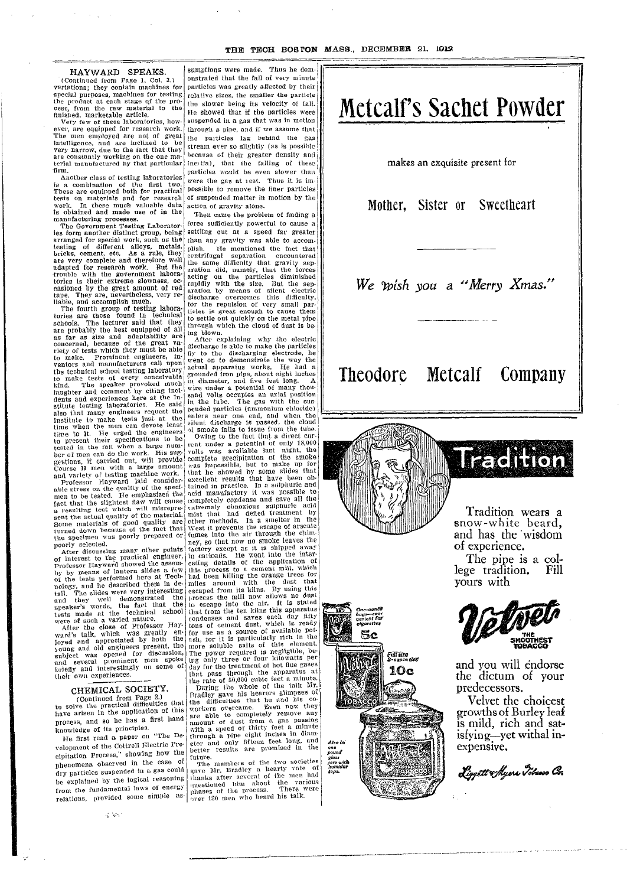**In the contract of the contract of the contract of the contract of the contract of the contract of the contract of the contract of the contract of the contract of the contract of the contract of the contract of the contra** 

i

I

I

I<sup>-</sup>

 $\overline{1}$ 

|<br>|<br>|<br>|

ouna<br>dass<br>humid**or** 

#### HAYWARD SPEAKS.

(Continued from Page 1, Col. 3.) onstrated that the variations; they contain machines for particles was great special purposes, machines for testing relative sizes, the the product at each stage of the pro- the slower being cess, from the raw material to the the slower leing<br>finished, marketable article.<br>Very few of these laboratories, how- suspended in a gas

ever, are equipped for research work. through a pipe, and<br>The men employed are not of great the particles lag<br>intelligence, and are inclined to be etream ever so slight very narrow, due to the fact that they  $\begin{bmatrix} \text{size} \\ \text{because} \text{ constants} \end{bmatrix}$  because of their g terial manufactured by that particular ineitia), that the firm. the contraction of the even slower than the event slower than the event slower than the even slower than firm.<br>Another class of testing laboratories

is a combination of the first two. Were the gas at reflection of the first two. Were the gas at reflection of suspended matter than  $\frac{1}{2}$  possible to remove work. In these much valuable data action of gravity all is obtained and made use of in the Then came the p manufacturing processes. From came

 $The Government Testing Laboratory$ les form another distinct group, being settling out at a arranged for special work, such as the than any gravity testing of different alloys, metals, plish. He menti bricks, cement, etc. As a rule, they centrifugal separare very complete and therefore well the same difficult adapted for research work. But the aration did, name<br>trouble with the government labora- acting on the pretories is their extreme slowness, oc-<br>casioned by the great amount of red<br>tape. They are, nevertheless, very re-<br>liable, and accomplish much.<br>The fourth group of testing labora-<br>tor the repulsion of the repulsion of the re

tories are those found in technical  $\begin{bmatrix} \text{trees} \\ \text{to settle} \end{bmatrix}$ schools. The lecturer said that they  $\frac{10}{10}$  settle out quickly are probably the best equipped of all through which the<br>as far as size and adaptability are  $\frac{1}{2}$  after explaining<br>concerned, because of the great va-<br>discharge is able i riety of tests which they must be able  $\begin{bmatrix} \text{disc}{\text{max}} \\ \text{dist}{\text{max}} \end{bmatrix}$  and the discharge is able to make. Prominent engineers, inventors and manufacturers call upon went on to demonstrate the technical school testing laboratory actual apparatus<br>to make tests of every conceivable grounded iron pipe, kind. The speaker provoked much in diameter, and it has laughter and comment by citing incidents and experiences here at the In-<br>dents and experiences here at the In-<br>stitute testing laboratories. He said in the tube. The<br> Institute to make tests just at the enters near one ereme when the men can devote least silent discharge is<br>time when the men can devote least silent discharge is<br>time to it. He urged the engineers of www.folioner to the to present their specifications to be volting to the fact the fall when a large num-<br>tested in the fall when a large num-<br>ber of men can do the work. His sug- volts was available gestions, if carried out, will provide complete precipitations.<br>Course II men with a large amount was impossible, by<br>and variety of testing machine work. That he showed by<br>and results t

Professor Hayward laid consider-<br>able stress on the quality of the speci-<br>men to be tested. He emphasized the acid manufactory<br>men to be tested. He emphasized the accomplishing condet fact that the slightest flaw will cause completely condenia<br>a resulting test which will misrepre-<br>sent the actual quality of the material. mist that had different<br>some materials of good quality are other methods. If<br>we sen turned down because of the fact that West it prevents the specimen was poorly prepared or fumes into the air poorly selected. poorly selected.<br>After discussing many other points

of interest to the practical engineer, in caribadis. He is<br>professor Hayward showed the assem-<br>by by means of lantern slides a few this process to a<br>of the tests performed here at Tech-<br>had been killing t<br>pology, and he d tail. The slides were very interesting escaped from its kind. The slides were very interesting the process the mill no<br>speaker's words, the fact that the to escape into the to-<br>the totests made at the technical school that from the ten<br>were of such a varied nature.<br>After the close of Professor Hay- tons of cement di

ward's talk, which was greatly en- for use as a sour joyed and appreciated by both the ash, for it is part young and old engineers present, the more soluble salt subject was opened for discussion, The power require<br>and several prominent men spoke  $\begin{bmatrix} \text{trig} \text{ only three or} \\ \text{drig} \text{ for the treatment} \end{bmatrix}$ their own experiences.  $\left\{\begin{array}{c}\n\text{that pass through}\n\end{array}\right\}$ 

## CHEMICAL SOCIETY.

(Continued from Page 2.)  $\begin{array}{|l|l|}\n\hline\n\text{Frou} & \text{Bave} \\
\hline\n\text{Frou} & \text{Bave} \\
\hline\n\end{array}$ to solve the practical difficulties that the unicomes of<br>have arisen in the application of this workers overcame process, and so he has a first hand knowledge of its principles.

He first read a paper on "The Development of the Cottrell Electric Precipitation Process," showing how the phenomena observed in the case of dry particles suspended in a gas could be explained by the logical reasoning from the fundamental laws of energy relations, provided some simple as-

sumptions were made. Thus he demonstrated that the fall of very minute particles was greatly affected by their relative sizes, the smaller the particle the slower being its velocity of fall. He showed that if the particles were suspended in a gas that was in motion through a pipe, and if we assume that the particles lag behind the gas stream ever so slightly (as is possible because of their greater density and inertia), that the falling of these were the gas at rest. Thus it is impossible to remove the finer particles of suspended matter in motion by the action of gravity alone.

Then came the problem of finding a force sufficiently powerful to cause a settling out at a speed far greater than any gravity was able to accom-He mentioned the fact that<br>gal separation encountered ation encountered y that gravity sep-ly, that the forces articles diminished size. But the sep-3 of silent electric ies this difficulty, of very small parugh to cause them y on the metal pipe cloud of dust is be-

went on to demon why the electric o make the particles rging electrode, he istrate the way the works. He had a , about eight inches five feet long. A ntial of many tlhoues an axial position gas with the susammonium chloride) enters near one end, and when the<br>silent discharge is passed, the cloud<br>of smoke fails to issue from the tube. ssue from the tube.

ct that a direct cur-ntial of only 18,000 ble last night, the ation of the smoke I ut to make up for y some slides that that have been ob-In a sulphuric and it was possible to se and save all the<br>pus sulphuric acid<br>efied treatment by **i** a smelter in the -he escape of arsenic r through the chim-10 smoke leaves the it is shipped an-ay vent into the inter-<br>the application of<br>cement mill, which<br>he orange trees for ith the dust that kilns. By uising this now allows no dust e air. It is stated kilns this apparatus yves each day fifty lust, which is ready *ee* of available pot-ticularly rich in the ts of this element. ed is negligible, be-four kilowatts per lent of hot flue gases Ih the apparatus at cubic feet a minute.

the rate of  $50,000$ <sub>he</sub> better results are Ole of the talk Mr. hearers glimpses of<br>hat he and his co-<br>e. Even now they pletely remove any from a gas passing thirty feet a minute ighlt inches in diam-teen feet long, and re promised in the

of the two societies y a hearty vote of **'ral** of the men had about the various ocess. There were o heard his talk.





.<br>Mil MZO<br>2-oance ting **10c** 

# **Trachion**

1

I I

-1

- -

Tradition wears a snow-white beard. and has the wisdom of experience.

The pipe is a **col**lege tradition. Fill yours with



and you will endorse the you will endorse dictum of your predecessors.

Velvet the choicest growths of Burley leaf is mild, rich and satisfying-yet withal inexpensive.

*4- zav -u.0a*